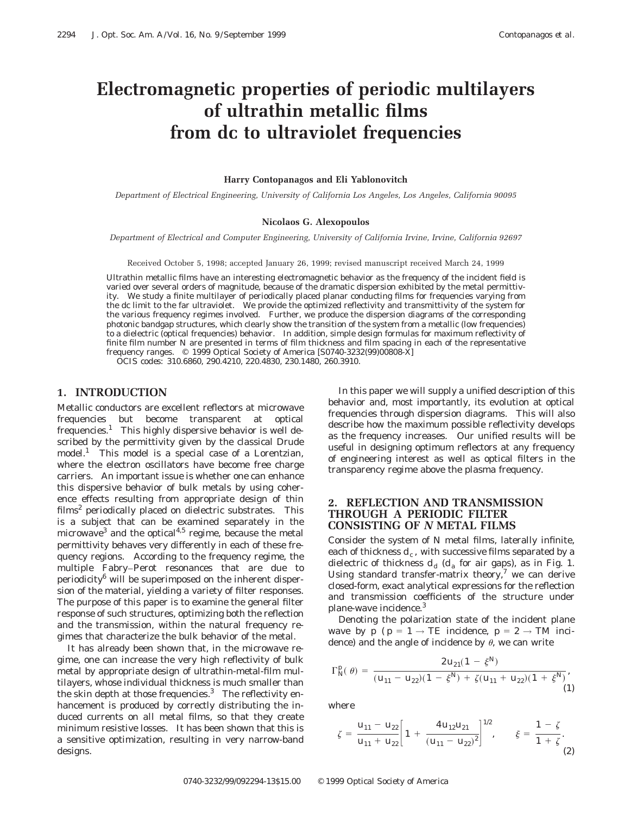# **Electromagnetic properties of periodic multilayers of ultrathin metallic films from dc to ultraviolet frequencies**

#### **Harry Contopanagos and Eli Yablonovitch**

*Department of Electrical Engineering, University of California Los Angeles, Los Angeles, California 90095*

#### **Nicolaos G. Alexopoulos**

*Department of Electrical and Computer Engineering, University of California Irvine, Irvine, California 92697*

Received October 5, 1998; accepted January 26, 1999; revised manuscript received March 24, 1999

Ultrathin metallic films have an interesting electromagnetic behavior as the frequency of the incident field is varied over several orders of magnitude, because of the dramatic dispersion exhibited by the metal permittivity. We study a finite multilayer of periodically placed planar conducting films for frequencies varying from the dc limit to the far ultraviolet. We provide the optimized reflectivity and transmittivity of the system for the various frequency regimes involved. Further, we produce the dispersion diagrams of the corresponding photonic bandgap structures, which clearly show the transition of the system from a metallic (low frequencies) to a dielectric (optical frequencies) behavior. In addition, simple design formulas for maximum reflectivity of finite film number *N* are presented in terms of film thickness and film spacing in each of the representative frequency ranges.  $\circ$  1999 Optical Society of America [S0740-3232(99)00808-X] *OCIS codes:* 310.6860, 290.4210, 220.4830, 230.1480, 260.3910.

## **1. INTRODUCTION**

Metallic conductors are excellent reflectors at microwave frequencies but become transparent at optical  $f$ requencies.<sup>1</sup> This highly dispersive behavior is well described by the permittivity given by the classical Drude  $model<sup>1</sup>$  This model is a special case of a Lorentzian, where the electron oscillators have become free charge carriers. An important issue is whether one can enhance this dispersive behavior of bulk metals by using coherence effects resulting from appropriate design of thin films<sup>2</sup> periodically placed on dielectric substrates. This is a subject that can be examined separately in the microwave<sup>3</sup> and the optical<sup>4,5</sup> regime, because the metal permittivity behaves very differently in each of these frequency regions. According to the frequency regime, the multiple Fabry–Perot resonances that are due to periodicity6 will be superimposed on the inherent dispersion of the material, yielding a variety of filter responses. The purpose of this paper is to examine the general filter response of such structures, optimizing both the reflection and the transmission, within the natural frequency regimes that characterize the bulk behavior of the metal.

It has already been shown that, in the microwave regime, one can increase the very high reflectivity of bulk metal by appropriate design of ultrathin-metal-film multilayers, whose individual thickness is much smaller than the skin depth at those frequencies. $3$  The reflectivity enhancement is produced by correctly distributing the induced currents on *all* metal films, so that they create minimum resistive losses. It has been shown that this is a sensitive optimization, resulting in very narrow-band designs.

In this paper we will supply a unified description of this behavior and, most importantly, its evolution at optical frequencies through dispersion diagrams. This will also describe how the maximum possible reflectivity develops as the frequency increases. Our unified results will be useful in designing optimum reflectors at any frequency of engineering interest as well as optical filters in the transparency regime above the plasma frequency.

## **2. REFLECTION AND TRANSMISSION THROUGH A PERIODIC FILTER CONSISTING OF** *N* **METAL FILMS**

Consider the system of *N* metal films, laterally infinite, each of thickness  $d_c$ , with successive films separated by a dielectric of thickness  $d_d$  ( $d_a$  for air gaps), as in Fig. 1. Using standard transfer-matrix theory, $7$  we can derive closed-form, exact analytical expressions for the reflection and transmission coefficients of the structure under plane-wave incidence.3

Denoting the polarization state of the incident plane wave by  $p$  ( $p = 1 \rightarrow TE$  incidence,  $p = 2 \rightarrow TM$  incidence) and the angle of incidence by  $\theta$ , we can write

$$
\Gamma_{N}^{p}(\theta) = \frac{2 u_{21} (1 - \xi^{N})}{(u_{11} - u_{22})(1 - \xi^{N}) + \zeta (u_{11} + u_{22})(1 + \xi^{N})},
$$
\n(1)

where

$$
\zeta = \frac{u_{11} - u_{22}}{u_{11} + u_{22}} \bigg[ 1 + \frac{4 u_{12} u_{21}}{(u_{11} - u_{22})^2} \bigg]^{1/2}, \qquad \xi = \frac{1 - \zeta}{1 + \zeta}.
$$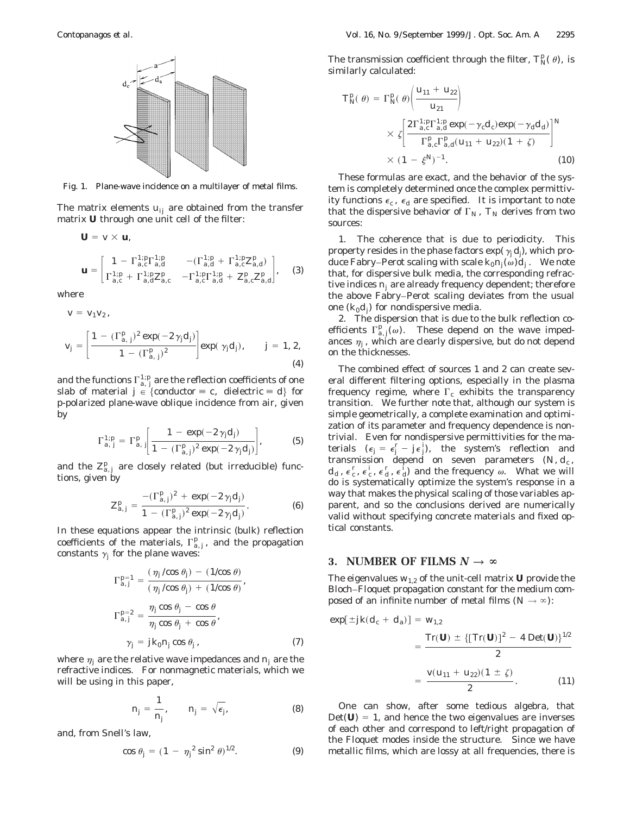

Fig. 1. Plane-wave incidence on a multilayer of metal films.

The matrix elements  $u_{ii}$  are obtained from the transfer matrix **U** through one unit cell of the filter:

$$
\mathbf{U} = v \times \mathbf{u},
$$
\n
$$
\mathbf{u} = \begin{bmatrix}\n1 - \Gamma_{a,c}^{1:p} \Gamma_{a,d}^{1:p} & -(\Gamma_{a,d}^{1:p} + \Gamma_{a,c}^{1:p} Z_{a,d}^{p}) \\
\Gamma_{a,c}^{1:p} + \Gamma_{a,d}^{1:p} Z_{a,c}^{p} & -\Gamma_{a,c}^{1:p} \Gamma_{a,d}^{1:p} + Z_{a,c}^{p} Z_{a,d}^{p}\n\end{bmatrix},
$$
\n(3)

where

 $v = v_1 v_2$ ,

$$
v_j = \left[\frac{1 - (\Gamma_{a,j}^p)^2 \exp(-2\gamma_j d_j)}{1 - (\Gamma_{a,j}^p)^2}\right] \exp(\gamma_j d_j), \qquad j = 1, 2,
$$
\n(4)

and the functions  $\Gamma^{1;p}_{a,\;j}$  are the reflection coefficients of one slab of material  $j \in \{ \text{conductor} \equiv c, \text{ dielectric} \equiv d \}$  for *p*-polarized plane-wave oblique incidence from air, given by

$$
\Gamma_{a,j}^{1:p} = \Gamma_{a,j}^p \left[ \frac{1 - \exp(-2 \gamma_j d_j)}{1 - (\Gamma_{a,j}^p)^2 \exp(-2 \gamma_j d_j)} \right],
$$
 (5)

and the  $Z_{a,j}^p$  are closely related (but irreducible) functions, given by

$$
Z_{a,j}^{p} = \frac{-(\Gamma_{a,j}^{p})^{2} + \exp(-2\gamma_{j}d_{j})}{1 - (\Gamma_{a,j}^{p})^{2}\exp(-2\gamma_{j}d_{j})}.
$$
 (6)

In these equations appear the intrinsic (bulk) reflection coefficients of the materials,  $\Gamma_{a,j}^p$ , and the propagation constants  $\gamma_i$  for the plane waves:

$$
\Gamma_{a,j}^{p=1} = \frac{(\eta_j/\cos\theta_j) - (1/\cos\theta)}{(\eta_j/\cos\theta_j) + (1/\cos\theta)},
$$
  
\n
$$
\Gamma_{a,j}^{p=2} = \frac{\eta_j\cos\theta_j - \cos\theta}{\eta_j\cos\theta_j + \cos\theta},
$$
  
\n
$$
\gamma_j = j k_0 n_j \cos\theta_j,
$$
\n(7)

where  $\eta_i$  are the relative wave impedances and  $n_i$  are the refractive indices. For nonmagnetic materials, which we will be using in this paper,

$$
n_j = \frac{1}{n_j}, \qquad n_j = \sqrt{\epsilon_j}, \tag{8}
$$

and, from Snell's law,

$$
\cos \theta_j = (1 - \eta_j^2 \sin^2 \theta)^{1/2}.
$$
 (9)

The transmission coefficient through the filter,  $T_N^p(\theta)$ , is similarly calculated:

$$
T_N^p(\theta) = \Gamma_N^p(\theta) \left( \frac{u_{11} + u_{22}}{u_{21}} \right)
$$
  
 
$$
\times \zeta \left[ \frac{2\Gamma_{a,c}^{1:p} \Gamma_{a,d}^{1:p} \exp(-\gamma_c d_c) \exp(-\gamma_d d_d)}{\Gamma_{a,c}^p \Gamma_{a,d}^p (u_{11} + u_{22})(1 + \zeta)} \right]^N
$$
  
 
$$
\times (1 - \xi^N)^{-1}.
$$
 (10)

These formulas are exact, and the behavior of the system is completely determined once the complex permittivity functions  $\epsilon_c$ ,  $\epsilon_d$  are specified. It is important to note that the dispersive behavior of  $\Gamma_N$ ,  $T_N$  derives from two sources:

1. The coherence that is due to periodicity. This property resides in the phase factors  $\exp(\gamma_i d_j)$ , which produce Fabry–Perot scaling with scale  $k_0 n_i(\omega) d_i$ . We note that, for dispersive bulk media, the corresponding refractive indices *nj* are already frequency dependent; therefore the above Fabry–Perot scaling deviates from the usual one  $(k_0d_i)$  for nondispersive media.

2. The dispersion that is due to the bulk reflection coefficients  $\Gamma_{a,j}^p(\omega)$ . These depend on the wave impedances  $\eta_i$ , which are clearly dispersive, but do not depend on the thicknesses.

The combined effect of sources 1 and 2 can create several different filtering options, especially in the plasma frequency regime, where  $\Gamma_c$  exhibits the transparency transition. We further note that, although our system is simple geometrically, a complete examination and optimization of its parameter and frequency dependence is nontrivial. Even for nondispersive permittivities for the materials  $(\epsilon_j = \epsilon_j^r - j\epsilon_j^i)$ , the system's reflection and transmission depend on seven parameters  $(N, d_c,$  $d_d$ ,  $\epsilon_c^r$ ,  $\epsilon_d^i$ ,  $\epsilon_d^i$ ,  $\epsilon_d^j$  and the frequency  $\omega$ . What we will do is systematically optimize the system's response in a way that makes the physical scaling of those variables apparent, and so the conclusions derived are numerically valid without specifying concrete materials and fixed optical constants.

### **3. NUMBER OF FILMS**  $N \to \infty$

The eigenvalues  $w_{1,2}$  of the unit-cell matrix **U** provide the Bloch–Floquet propagation constant for the medium composed of an infinite number of metal films  $(N \rightarrow \infty)$ :

$$
\exp[\pm jk(d_c + d_a)] = w_{1,2}
$$
  
= 
$$
\frac{\operatorname{Tr}(\mathbf{U}) \pm \{[\operatorname{Tr}(\mathbf{U})]^2 - 4 \operatorname{Det}(\mathbf{U})\}^{1/2}}{2}
$$
  
= 
$$
\frac{v(u_{11} + u_{22})(1 \pm \zeta)}{2}.
$$
 (11)

One can show, after some tedious algebra, that  $Det(U) = 1$ , and hence the two eigenvalues are inverses of each other and correspond to left/right propagation of the Floquet modes inside the structure. Since we have metallic films, which are lossy at all frequencies, there is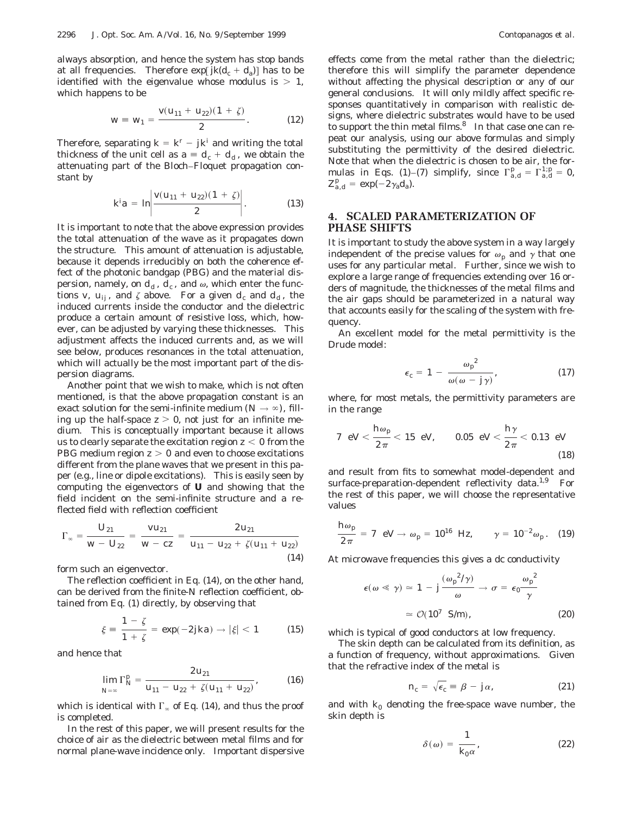always absorption, and hence the system has stop bands at all frequencies. Therefore  $exp[jk(d_c + d_a)]$  has to be identified with the eigenvalue whose modulus is  $> 1$ , which happens to be

$$
w \equiv w_1 = \frac{v(u_{11} + u_{22})(1 + \zeta)}{2}.
$$
 (12)

Therefore, separating  $k = k^r - jk^i$  and writing the total thickness of the unit cell as  $a \equiv d_c + d_d$ , we obtain the attenuating part of the Bloch–Floquet propagation constant by

$$
k^i a = \ln \left| \frac{v(u_{11} + u_{22})(1 + \zeta)}{2} \right|.
$$
 (13)

It is important to note that the above expression provides the total attenuation of the wave as it propagates down the structure. This amount of attenuation is adjustable, because it depends irreducibly on both the coherence effect of the photonic bandgap (PBG) and the material dispersion, namely, on  $d_d$ ,  $d_c$ , and  $\omega$ , which enter the functions *v*,  $u_{ii}$ , and  $\zeta$  above. For a given  $d_c$  and  $d_d$ , the induced currents inside the conductor and the dielectric produce a certain amount of resistive loss, which, however, can be adjusted by varying these thicknesses. This adjustment affects the induced currents and, as we will see below, produces resonances in the total attenuation, which will actually be the most important part of the dispersion diagrams.

Another point that we wish to make, which is not often mentioned, is that the above propagation constant is an exact solution for the semi-infinite medium  $(N \rightarrow \infty)$ , filling up the half-space  $z > 0$ , not just for an infinite medium. This is conceptually important because it allows us to clearly separate the excitation region  $z < 0$  from the PBG medium region  $z > 0$  and even to choose excitations different from the plane waves that we present in this paper (e.g., line or dipole excitations). This is easily seen by computing the eigenvectors of **U** and showing that the field incident on the semi-infinite structure and a reflected field with reflection coefficient

$$
\Gamma_{\infty} = \frac{U_{21}}{W - U_{22}} = \frac{V u_{21}}{W - cz} = \frac{2 u_{21}}{u_{11} - u_{22} + \zeta (u_{11} + u_{22})}
$$
\n(14)

form such an eigenvector.

The reflection coefficient in Eq. (14), on the other hand, can be derived from the finite-*N* reflection coefficient, obtained from Eq. (1) directly, by observing that

$$
\xi = \frac{1 - \zeta}{1 + \zeta} = \exp(-2jka) \to |\xi| < 1 \tag{15}
$$

and hence that

$$
\lim_{N=\infty} \Gamma_N^p = \frac{2 u_{21}}{u_{11} - u_{22} + \zeta (u_{11} + u_{22})},
$$
 (16)

which is identical with  $\Gamma_{\infty}$  of Eq. (14), and thus the proof is completed.

In the rest of this paper, we will present results for the choice of air as the dielectric between metal films and for normal plane-wave incidence only. Important dispersive

effects come from the metal rather than the dielectric; therefore this will simplify the parameter dependence without affecting the physical description or any of our general conclusions. It will only mildly affect specific responses quantitatively in comparison with realistic designs, where dielectric substrates would have to be used to support the thin metal films. $8$  In that case one can repeat our analysis, using our above formulas and simply substituting the permittivity of the desired dielectric. Note that when the dielectric is chosen to be air, the formulas in Eqs. (1)–(7) simplify, since  $\Gamma_{a,d}^p = \Gamma_{a,d}^{1,p} = 0$ ,  $Z_{a,d}^p = \exp(-2\gamma_a d_a).$ 

## **4. SCALED PARAMETERIZATION OF PHASE SHIFTS**

It is important to study the above system in a way largely independent of the precise values for  $\omega_p$  and  $\gamma$  that one uses for any particular metal. Further, since we wish to explore a large range of frequencies extending over 16 orders of magnitude, the thicknesses of the metal films and the air gaps should be parameterized in a natural way that accounts easily for the scaling of the system with frequency.

An excellent model for the metal permittivity is the Drude model:

$$
\epsilon_c = 1 - \frac{\omega_p^2}{\omega(\omega - j\gamma)},\tag{17}
$$

where, for most metals, the permittivity parameters are in the range

7 eV 
$$
\frac{h\omega_p}{2\pi}
$$
 < 15 eV, 0.05 eV  $\frac{h\gamma}{2\pi}$  < 0.13 eV (18)

and result from fits to somewhat model-dependent and surface-preparation-dependent reflectivity data.<sup>1,9</sup> For the rest of this paper, we will choose the representative values

$$
\frac{h\omega_p}{2\pi} = 7 \text{ eV} \to \omega_p = 10^{16} \text{ Hz}, \qquad \gamma = 10^{-2} \omega_p. \quad (19)
$$

At microwave frequencies this gives a dc conductivity

$$
\epsilon(\omega \ll \gamma) \simeq 1 - j \frac{(\omega_p^2/\gamma)}{\omega} \to \sigma = \epsilon_0 \frac{\omega_p^2}{\gamma}
$$

$$
\simeq \mathcal{O}(10^7 \text{ S/m}), \qquad (20)
$$

which is typical of good conductors at low frequency.

The skin depth can be calculated from its definition, as a function of frequency, without approximations. Given that the refractive index of the metal is

$$
n_c = \sqrt{\epsilon_c} \equiv \beta - j\alpha, \qquad (21)
$$

and with  $k_0$  denoting the free-space wave number, the skin depth is

$$
\delta(\omega) = \frac{1}{k_0 \alpha},\tag{22}
$$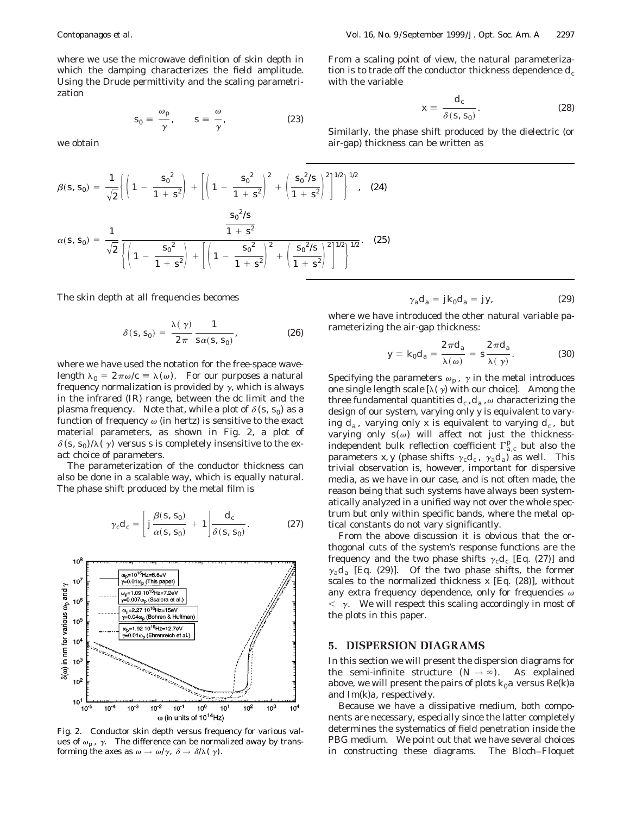where we use the microwave definition of skin depth in which the damping characterizes the field amplitude. Using the Drude permittivity and the scaling parametrization

$$
s_0 = \frac{\omega_p}{\gamma}, \qquad s = \frac{\omega}{\gamma}, \tag{23}
$$

we obtain

$$
\beta(s, s_0) = \frac{1}{\sqrt{2}} \left\{ \left( 1 - \frac{s_0^2}{1 + s^2} \right) + \left[ \left( 1 - \frac{s_0^2}{1 + s^2} \right)^2 + \left( \frac{s_0^2/s}{1 + s^2} \right)^2 \right]^{1/2} \right\}^{1/2}, \quad (24)
$$

$$
\alpha(s, s_0) = \frac{1}{\sqrt{2}} \frac{\frac{s_0^2/s}{1 + s^2}}{\left\{ \left( 1 - \frac{s_0^2}{1 + s^2} \right) + \left[ \left( 1 - \frac{s_0^2}{1 + s^2} \right)^2 + \left( \frac{s_0^2/s}{1 + s^2} \right)^2 \right]^{1/2} \right\}^{1/2}}.
$$

The skin depth at all frequencies becomes

$$
\delta(s, s_0) = \frac{\lambda(\gamma)}{2\pi} \frac{1}{s\alpha(s, s_0)},
$$
\n(26)

where we have used the notation for the free-space wavelength  $\lambda_0 = 2\pi\omega/c \equiv \lambda(\omega)$ . For our purposes a natural frequency normalization is provided by  $\gamma$ , which is always in the infrared (IR) range, between the dc limit and the plasma frequency. Note that, while a plot of  $\delta(s, s_0)$  as a function of frequency  $\omega$  (in hertz) is sensitive to the exact material parameters, as shown in Fig. 2, a plot of  $\delta(s, s_0)/\lambda(\gamma)$  versus *s* is completely insensitive to the exact choice of parameters.

The parameterization of the conductor thickness can also be done in a scalable way, which is equally natural. The phase shift produced by the metal film is

$$
\gamma_c d_c = \left[ j \frac{\beta(s, s_0)}{\alpha(s, s_0)} + 1 \right] \frac{d_c}{\delta(s, s_0)}.
$$
 (27)



Fig. 2. Conductor skin depth versus frequency for various values of  $\omega_p$ ,  $\gamma$ . The difference can be normalized away by transforming the axes as  $\omega \to \omega/\gamma$ ,  $\delta \to \delta/\lambda(\gamma)$ .

From a scaling point of view, the natural parameterization is to trade off the conductor thickness dependence  $d_c$ with the variable

$$
x \equiv \frac{d_c}{\delta(s, s_0)}.\tag{28}
$$

Similarly, the phase shift produced by the dielectric (or air-gap) thickness can be written as

$$
\gamma_a d_a = j k_0 d_a = j y,\tag{29}
$$

where we have introduced the other natural variable parameterizing the air-gap thickness:

$$
y \equiv k_0 d_a = \frac{2 \pi d_a}{\lambda(\omega)} = s \frac{2 \pi d_a}{\lambda(\gamma)}.
$$
 (30)

Specifying the parameters  $\omega_p$ ,  $\gamma$  in the metal introduces one single length scale  $[\lambda(\gamma)]$  with our choice]. Among the three fundamental quantities  $d_c$ ,  $d_a$ ,  $\omega$  characterizing the design of our system, varying only *y* is equivalent to varying  $d_a$ , varying only x is equivalent to varying  $d_c$ , but varying only  $s(\omega)$  will affect not just the thicknessindependent bulk reflection coefficient  $\Gamma_{a,c}^p$  but also the parameters *x*, *y* (phase shifts  $\gamma_c d_c$ ,  $\gamma_d d_d$ ) as well. This trivial observation is, however, important for dispersive media, as we have in our case, and is not often made, the reason being that such systems have always been systematically analyzed in a unified way not over the whole spectrum but only within specific bands, where the metal optical constants do not vary significantly.

From the above discussion it is obvious that the orthogonal cuts of the system's response functions are the frequency and the two phase shifts  $\gamma_c d_c$  [Eq. (27)] and  $\gamma_a d_a$  [Eq. (29)]. Of the two phase shifts, the former scales to the normalized thickness *x* [Eq. (28)], without any extra frequency dependence, *only* for frequencies  $\omega$  $<$   $\gamma$ . We will respect this scaling accordingly in most of the plots in this paper.

# **5. DISPERSION DIAGRAMS**

In this section we will present the dispersion diagrams for the semi-infinite structure  $(N \rightarrow \infty)$ . As explained above, we will present the pairs of plots  $k_0a$  versus  $Re(k)a$ and Im(*k*)*a*, respectively.

Because we have a dissipative medium, both components are necessary, especially since the latter completely determines the systematics of field penetration inside the PBG medium. We point out that we have several choices in constructing these diagrams. The Bloch–Floquet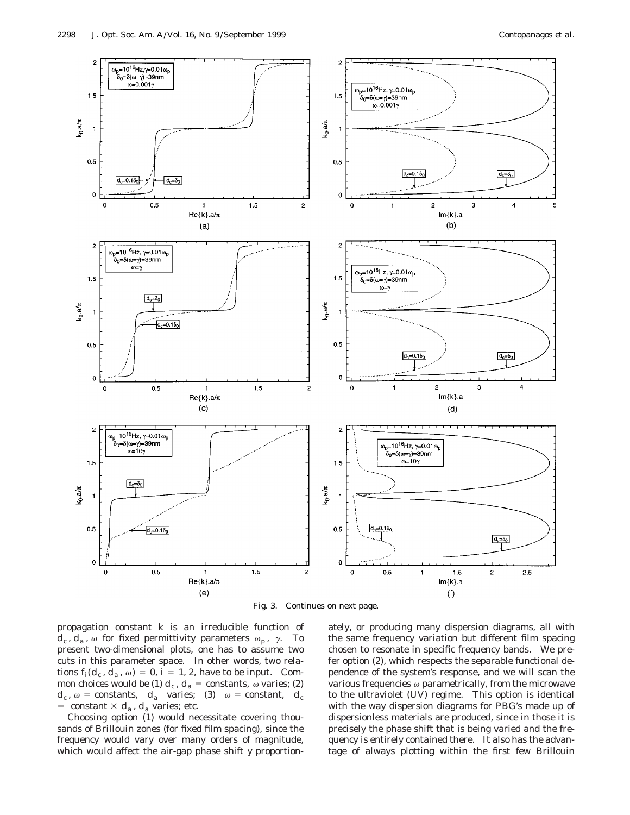

Fig. 3. Continues on next page.

propagation constant *k* is an irreducible function of  $d_c$ ,  $d_a$ ,  $\omega$  for fixed permittivity parameters  $\omega_p$ ,  $\gamma$ . To present two-dimensional plots, one has to assume two cuts in this parameter space. In other words, two relations  $f_i(d_c, d_a, \omega) = 0$ ,  $i = 1, 2$ , have to be input. Common choices would be (1)  $d_c$ ,  $d_a$  = constants,  $\omega$  varies; (2)  $d_c$ ,  $\omega$  = constants,  $d_a$  varies; (3)  $\omega$  = constant,  $d_c$ = constant  $\times$   $d_a$ ,  $d_a$  varies; etc.

Choosing option (1) would necessitate covering thousands of Brillouin zones (for fixed film spacing), since the frequency would vary over many orders of magnitude, which would affect the air-gap phase shift *y* proportionately, or producing many dispersion diagrams, all with the same frequency variation but different film spacing chosen to resonate in specific frequency bands. We prefer option (2), which respects the separable functional dependence of the system's response, and we will scan the various frequencies  $\omega$  parametrically, from the microwave to the ultraviolet (UV) regime. This option is identical with the way dispersion diagrams for PBG's made up of dispersionless materials are produced, since in those it is precisely the phase shift that is being varied and the frequency is entirely contained there. It also has the advantage of always plotting within the first few Brillouin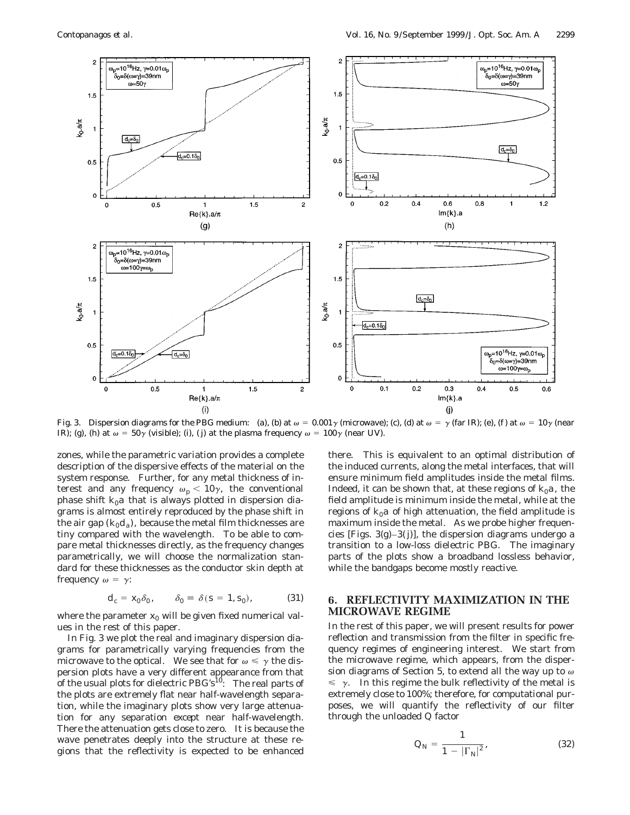

Fig. 3. Dispersion diagrams for the PBG medium: (a), (b) at  $\omega = 0.001\gamma$  (microwave); (c), (d) at  $\omega = \gamma$  (far IR); (e), (f) at  $\omega = 10\gamma$  (near IR); (g), (h) at  $\omega = 50\gamma$  (visible); (i), (j) at the plasma frequency  $\omega = 100\gamma$  (near UV).

zones, while the parametric variation provides a complete description of the dispersive effects of the material on the system response. Further, for any metal thickness of interest and any frequency  $\omega_p < 10\gamma$ , the conventional phase shift  $k_0a$  that is always plotted in dispersion diagrams is almost entirely reproduced by the phase shift in the air gap  $(k_0d_a)$ , because the metal film thicknesses are tiny compared with the wavelength. To be able to compare metal thicknesses directly, as the frequency changes parametrically, we will choose the normalization standard for these thicknesses as the conductor skin depth at frequency  $\omega = \gamma$ :

$$
d_c = x_0 \delta_0, \qquad \delta_0 = \delta(s = 1, s_0), \tag{31}
$$

where the parameter  $x_0$  will be given fixed numerical values in the rest of this paper.

In Fig. 3 we plot the real and imaginary dispersion diagrams for parametrically varying frequencies from the microwave to the optical. We see that for  $\omega \le \gamma$  the dispersion plots have a very different appearance from that of the usual plots for dielectric  $PBG's^{10}$ : The real parts of the plots are extremely flat near half-wavelength separation, while the imaginary plots show very large attenuation for any separation *except* near half-wavelength. There the attenuation gets close to zero. It is because the wave penetrates deeply into the structure at these regions that the reflectivity is expected to be enhanced there. This is equivalent to an optimal distribution of the induced currents, along the metal interfaces, that will ensure minimum field amplitudes inside the metal films. Indeed, it can be shown that, at these regions of  $k_0a$ , the field amplitude is minimum inside the metal, while at the regions of  $k_0a$  of high attenuation, the field amplitude is maximum inside the metal. As we probe higher frequencies [Figs.  $3(g)-3(j)$ ], the dispersion diagrams undergo a transition to a low-loss dielectric PBG. The imaginary parts of the plots show a broadband lossless behavior, while the bandgaps become mostly reactive.

# **6. REFLECTIVITY MAXIMIZATION IN THE MICROWAVE REGIME**

In the rest of this paper, we will present results for power reflection and transmission from the filter in specific frequency regimes of engineering interest. We start from the microwave regime, which appears, from the dispersion diagrams of Section 5, to extend all the way up to  $\omega$  $\leq \gamma$ . In this regime the bulk reflectivity of the metal is extremely close to 100%; therefore, for computational purposes, we will quantify the reflectivity of our filter through the unloaded *Q* factor

$$
Q_N = \frac{1}{1 - |\Gamma_N|^2},\tag{32}
$$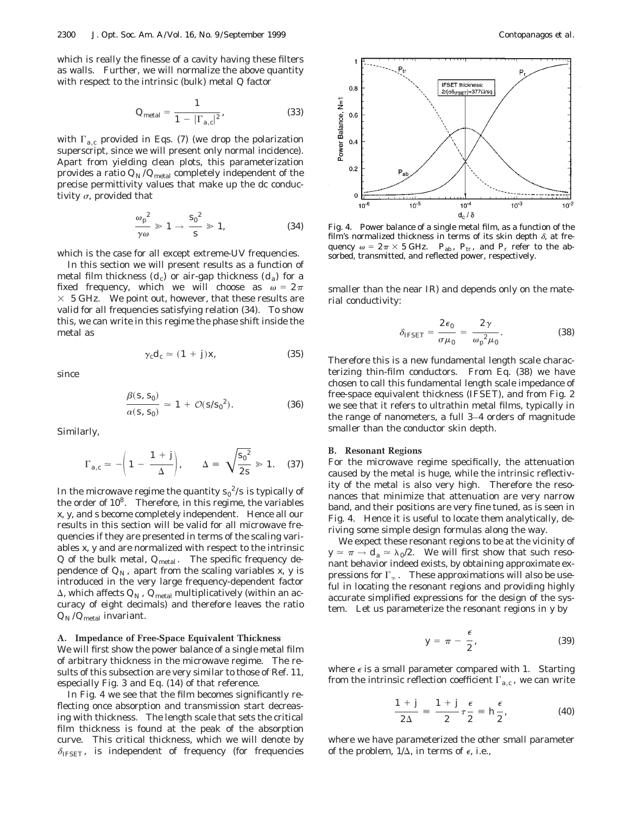which is really the finesse of a cavity having these filters as walls. Further, we will normalize the above quantity with respect to the intrinsic (bulk) metal *Q* factor

$$
Q_{\text{metal}} = \frac{1}{1 - |\Gamma_{a,c}|^2},\tag{33}
$$

with  $\Gamma_{a,c}$  provided in Eqs. (7) (we drop the polarization superscript, since we will present only normal incidence). Apart from yielding clean plots, this parameterization provides a ratio  $Q_N/Q_{\text{metal}}$  completely independent of the precise permittivity values that make up the dc conductivity  $\sigma$ , provided that

$$
\frac{\omega_p^2}{\gamma \omega} \gg 1 \to \frac{s_0^2}{s} \gg 1, \tag{34}
$$

which is the case for all except extreme-UV frequencies.

In this section we will present results as a function of metal film thickness  $(d_c)$  or air-gap thickness  $(d_a)$  for a fixed frequency, which we will choose as  $\omega = 2\pi$  $\times$  5 GHz. We point out, however, that these results are valid for *all* frequencies satisfying relation (34). To show this, we can write in this regime the phase shift inside the metal as

$$
\gamma_c d_c \simeq (1+j)x,\tag{35}
$$

since

$$
\frac{\beta(s, s_0)}{\alpha(s, s_0)} \simeq 1 + \mathcal{O}(s/s_0^2).
$$
 (36)

Similarly,

$$
\Gamma_{a,c} \simeq -\left(1 - \frac{1+j}{\Delta}\right), \qquad \Delta \equiv \sqrt{\frac{s_0^2}{2s}} \gg 1. \quad (37)
$$

In the microwave regime the quantity  $s_0{}^2/s$  is typically of the order of 108. Therefore, in this regime, the variables *x, y*, and *s* become completely independent. Hence all our results in this section will be valid for all microwave frequencies if they are presented in terms of the scaling variables *x, y* and are normalized with respect to the intrinsic *Q* of the bulk metal,  $Q_{\text{metal}}$ . The specific frequency dependence of  $Q_N$ , apart from the scaling variables *x*, *y* is introduced in the very large frequency-dependent factor  $\Delta$ , which affects  $Q_N$ ,  $Q_{\text{metal}}$  multiplicatively (within an accuracy of eight decimals) and therefore leaves the ratio  $Q_N$ / $Q_{\text{metal}}$  invariant.

**A. Impedance of Free-Space Equivalent Thickness** We will first show the power balance of a single metal film of arbitrary thickness in the microwave regime. The results of this subsection are very similar to those of Ref. 11, especially Fig. 3 and Eq. (14) of that reference.

In Fig. 4 we see that the film becomes significantly reflecting once absorption and transmission start decreasing with thickness. The length scale that sets the critical film thickness is found at the peak of the absorption curve. This critical thickness, which we will denote by  $\delta_{\text{IFSET}}$ , is independent of frequency (for frequencies



Fig. 4. Power balance of a single metal film, as a function of the film's normalized thickness in terms of its skin depth  $\delta$ , at frequency  $\omega = 2\pi \times 5$  GHz.  $P_{ab}$ ,  $P_{tr}$ , and  $P_r$  refer to the absorbed, transmitted, and reflected power, respectively.

smaller than the near IR) and depends only on the material conductivity:

$$
\delta_{\text{IFSET}} = \frac{2 \epsilon_0}{\sigma \mu_0} = \frac{2 \gamma}{\omega_p^2 \mu_0}.
$$
 (38)

Therefore this is a new fundamental length scale characterizing thin-film conductors. From Eq. (38) we have chosen to call this fundamental length scale impedance of free-space equivalent thickness (IFSET), and from Fig. 2 we see that it refers to ultrathin metal films, typically in the range of nanometers, a full 3–4 orders of magnitude smaller than the conductor skin depth.

#### **B. Resonant Regions**

For the microwave regime specifically, the attenuation caused by the metal is huge, while the intrinsic reflectivity of the metal is also very high. Therefore the resonances that minimize that attenuation are very narrow band, and their positions are very fine tuned, as is seen in Fig. 4. Hence it is useful to locate them analytically, deriving some simple design formulas along the way.

We expect these resonant regions to be at the vicinity of  $y \approx \pi \rightarrow d_a \approx \lambda_0/2$ . We will first show that such resonant behavior indeed exists, by obtaining approximate expressions for  $\Gamma_{\infty}$ . These approximations will also be useful in locating the resonant regions and providing highly accurate simplified expressions for the design of the system. Let us parameterize the resonant regions in *y* by

$$
y = \pi - \frac{\epsilon}{2},\tag{39}
$$

where  $\epsilon$  is a small parameter compared with 1. Starting from the intrinsic reflection coefficient  $\Gamma_{a,c}$ , we can write

$$
\frac{1+j}{2\Delta} \equiv \frac{1+j}{2}\tau \frac{\epsilon}{2} \equiv h\frac{\epsilon}{2}, \qquad (40)
$$

where we have parameterized the other small parameter of the problem,  $1/\Delta$ , in terms of  $\epsilon$ , i.e.,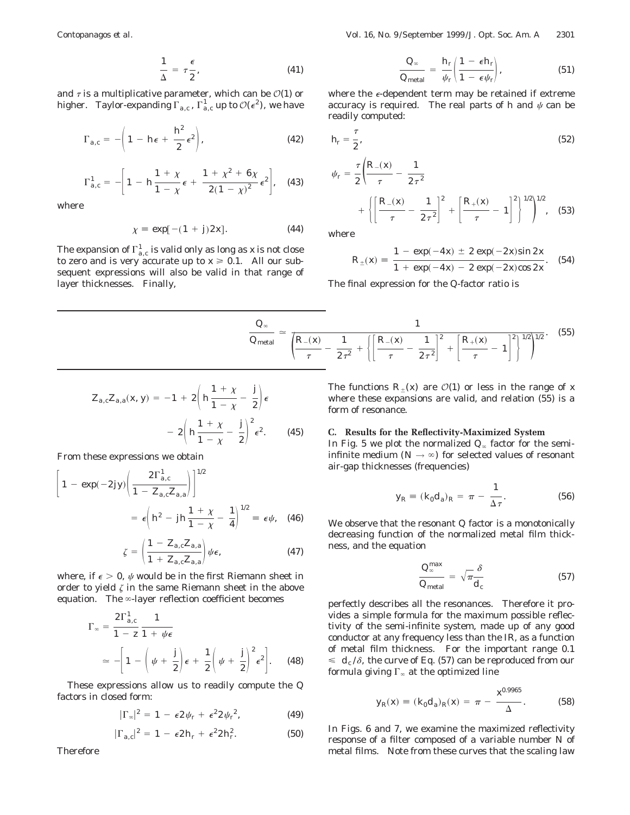$$
\frac{1}{\Delta} = \tau \frac{\epsilon}{2},\tag{41}
$$

and  $\tau$  is a multiplicative parameter, which can be  $\mathcal{O}(1)$  or higher. Taylor-expanding  $\Gamma_{a,c}$ ,  $\Gamma^1_{a,c}$  up to  $\mathcal{O}(\epsilon^2)$ , we have

$$
\Gamma_{a,c} = -\left(1 - h\epsilon + \frac{h^2}{2}\epsilon^2\right),\tag{42}
$$

$$
\Gamma_{a,c}^{1} = - \left[ 1 - h \frac{1 + \chi}{1 - \chi} \epsilon + \frac{1 + \chi^{2} + 6\chi}{2(1 - \chi)^{2}} \epsilon^{2} \right], \quad (43)
$$

where

$$
\chi = \exp[-(1+j)2x]. \tag{44}
$$

The expansion of  $\Gamma^1_{a,c}$  is valid only as long as *x* is not close to zero and is very accurate up to  $x \ge 0.1$ . All our subsequent expressions will also be valid in that range of layer thicknesses. Finally,

$$
\frac{Q_{\infty}}{Q_{\text{metal}}} = \frac{h_r}{\psi_r} \left( \frac{1 - \epsilon h_r}{1 - \epsilon \psi_r} \right),\tag{51}
$$

where the  $\epsilon$ -dependent term may be retained if extreme accuracy is required. The real parts of  $h$  and  $\psi$  can be readily computed:

$$
h_r = \frac{\tau}{2},\tag{52}
$$

$$
\psi_r = \frac{\tau}{2} \left( \frac{R_-(x)}{\tau} - \frac{1}{2\tau^2} + \left[ \frac{R_-(x)}{\tau} - \frac{1}{2\tau^2} \right]^2 + \left[ \frac{R_+(x)}{\tau} - 1 \right]^2 \right)^{1/2} \Big|^{1/2}, \quad (53)
$$

where

$$
R_{\pm}(x) = \frac{1 - \exp(-4x) \pm 2 \exp(-2x)\sin 2x}{1 + \exp(-4x) - 2 \exp(-2x)\cos 2x}.
$$
 (54)

The final expression for the *Q*-factor ratio is

$$
\frac{Q_{\infty}}{Q_{\text{metal}}} \simeq \frac{1}{\left(\frac{R_{-}(x)}{\tau} - \frac{1}{2\tau^2} + \left\{\left[\frac{R_{-}(x)}{\tau} - \frac{1}{2\tau^2}\right]^2 + \left[\frac{R_{+}(x)}{\tau} - 1\right]^2\right\}^{1/2}\right)^{1/2}}.
$$
(55)

$$
Z_{a,c}Z_{a,a}(x, y) = -1 + 2\left(h\frac{1 + x}{1 - x} - \frac{j}{2}\right)\epsilon
$$
  
- 2\left(h\frac{1 + x}{1 - x} - \frac{j}{2}\right)^{2}\epsilon^{2}. (45)

From these expressions we obtain

$$
\left[1 - \exp(-2jy)\left(\frac{2\Gamma_{a,c}^{1}}{1 - Z_{a,c}Z_{a,a}}\right)\right]^{1/2}
$$

$$
= \epsilon \left(h^{2} - jh\frac{1 + \chi}{1 - \chi} - \frac{1}{4}\right)^{1/2} \equiv \epsilon \psi, \quad (46)
$$

$$
\zeta = \left(\frac{1 - Z_{a,c}Z_{a,a}}{1 + Z_{a,c}Z_{a,a}}\right)\psi\epsilon,
$$
\n(47)

where, if  $\epsilon > 0$ ,  $\psi$  would be in the first Riemann sheet in order to yield  $\zeta$  in the same Riemann sheet in the above equation. The  $\infty$ -layer reflection coefficient becomes

$$
\Gamma_{\infty} = \frac{2\Gamma_{a,c}^{1}}{1 - z} \frac{1}{1 + \psi\epsilon}
$$
  
\n
$$
\simeq -\left[1 - \left(\psi + \frac{j}{2}\right)\epsilon + \frac{1}{2}\left(\psi + \frac{j}{2}\right)^{2}\epsilon^{2}\right].
$$
 (48)

These expressions allow us to readily compute the *Q* factors in closed form:

$$
|\Gamma_{\infty}|^2 = 1 - \epsilon 2 \psi_r + \epsilon^2 2 \psi_r^2, \qquad (49)
$$

$$
|\Gamma_{a,c}|^2 = 1 - \epsilon 2 h_r + \epsilon^2 2 h_r^2. \tag{50}
$$

Therefore

The functions  $R_{+}(x)$  are  $\mathcal{O}(1)$  or less in the range of *x* where these expansions are valid, and relation (55) is a form of resonance.

# **C. Results for the Reflectivity-Maximized System** In Fig. 5 we plot the normalized  $Q_{\infty}$  factor for the semiinfinite medium  $(N \rightarrow \infty)$  for selected values of resonant

air-gap thicknesses (frequencies)

$$
y_R \equiv (k_0 d_a)_R = \pi - \frac{1}{\Delta \tau}.
$$
 (56)

We observe that the resonant *Q* factor is a monotonically decreasing function of the normalized metal film thickness, and the equation

$$
\frac{Q_{\infty}^{\max}}{Q_{\text{metal}}} = \sqrt{\pi} \frac{\delta}{d_c}
$$
 (57)

perfectly describes all the resonances. Therefore it provides a simple formula for the maximum possible reflectivity of the semi-infinite system, made up of any good conductor at any frequency less than the IR, as a function of metal film thickness. For the important range 0.1  $\leq d_c/\delta$ , the curve of Eq. (57) can be reproduced from our formula giving  $\Gamma_{\infty}$  at the optimized line

$$
y_R(x) \equiv (k_0 d_a)_R(x) = \pi - \frac{x^{0.9965}}{\Delta}.
$$
 (58)

In Figs. 6 and 7, we examine the maximized reflectivity response of a filter composed of a variable number *N* of metal films. Note from these curves that the scaling law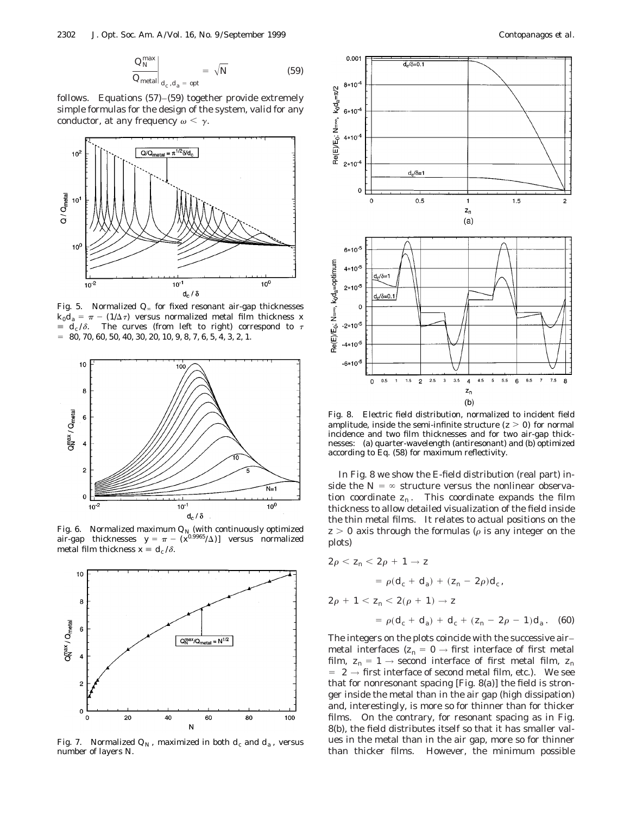$$
\left. \frac{Q_N^{\text{max}}}{Q_{\text{metal}}}\right|_{d_c, d_a = \text{ opt}} = \sqrt{N} \tag{59}
$$

follows. Equations (57)–(59) together provide extremely simple formulas for the design of the system, valid for any conductor, at any frequency  $\omega < \gamma$ .



Fig. 5. Normalized  $Q_{\infty}$  for fixed resonant air-gap thicknesses  $k_0 d_a = \pi - (1/\Delta \tau)$  versus normalized metal film thickness *x*  $= d_c / \delta$ . The curves (from left to right) correspond to  $\tau$  $= 80, 70, 60, 50, 40, 30, 20, 10, 9, 8, 7, 6, 5, 4, 3, 2, 1.$ 



Fig. 6.  $\,$  Normalized maximum  $\mathit{Q}_{N}$  (with continuously optimized air-gap thicknesses  $y = \pi - (x^{0.9965}/\Delta)$ ] versus normalized metal film thickness  $x = d_c / \delta$ .



Fig. 7. Normalized  $Q_N$ , maximized in both  $d_c$  and  $d_a$ , versus number of layers *N*.



Fig. 8. Electric field distribution, normalized to incident field amplitude, inside the semi-infinite structure  $(z > 0)$  for normal incidence and two film thicknesses and for two air-gap thicknesses: (a) quarter-wavelength (antiresonant) and (b) optimized according to Eq. (58) for maximum reflectivity.

In Fig. 8 we show the *E*-field distribution (real part) inside the  $N = \infty$  structure versus the nonlinear observation coordinate  $z_n$ . This coordinate expands the film thickness to allow detailed visualization of the field inside the thin metal films. It relates to actual positions on the  $z > 0$  axis through the formulas ( $\rho$  is any integer on the plots)

$$
2\rho < z_n < 2\rho + 1 \to z
$$
  
=  $\rho(d_c + d_a) + (z_n - 2\rho)d_c$ ,  

$$
2\rho + 1 < z_n < 2(\rho + 1) \to z
$$
  
=  $\rho(d_c + d_a) + d_c + (z_n - 2\rho - 1)d_a$ . (60)

The integers on the plots coincide with the successive air– metal interfaces ( $z_n = 0 \rightarrow$  first interface of first metal film,  $z_n = 1 \rightarrow$  second interface of first metal film,  $z_n$  $\,=\,$  2  $\,\rightarrow$  first interface of second metal film, etc.). We see that for nonresonant spacing [Fig. 8(a)] the field is stronger inside the metal than in the air gap (high dissipation) and, interestingly, is more so for thinner than for thicker films. On the contrary, for resonant spacing as in Fig. 8(b), the field distributes itself so that it has smaller values in the metal than in the air gap, more so for thinner than thicker films. However, the minimum possible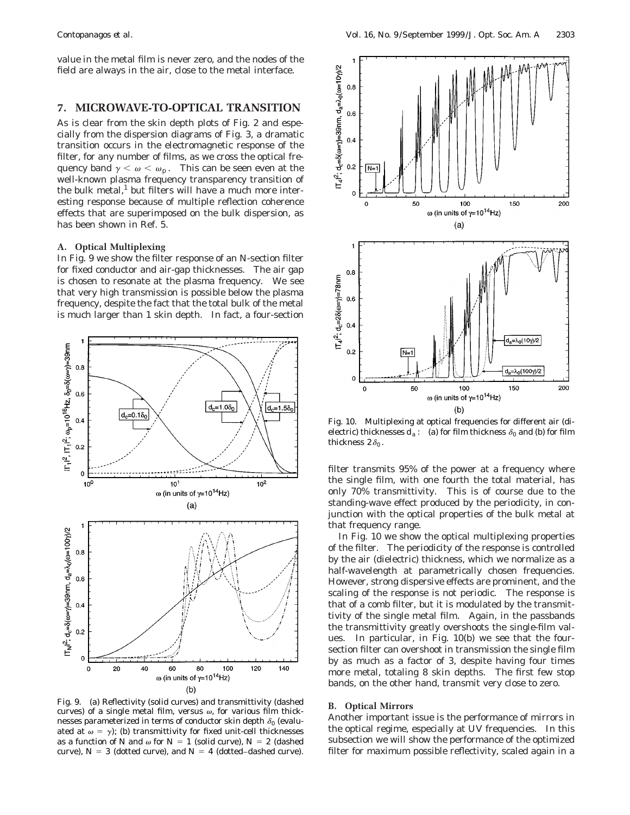value in the metal film is never zero, and the nodes of the field are always in the air, close to the metal interface.

# **7. MICROWAVE-TO-OPTICAL TRANSITION**

As is clear from the skin depth plots of Fig. 2 and especially from the dispersion diagrams of Fig. 3, a dramatic transition occurs in the electromagnetic response of the filter, for any number of films, as we cross the optical frequency band  $\gamma < \omega < \omega_p$ . This can be seen even at the well-known plasma frequency transparency transition of the bulk metal, $^1$  but filters will have a much more interesting response because of multiple reflection coherence effects that are superimposed on the bulk dispersion, as has been shown in Ref. 5.

#### **A. Optical Multiplexing**

In Fig. 9 we show the filter response of an *N*-section filter for fixed conductor and air-gap thicknesses. The air gap is chosen to resonate at the plasma frequency. We see that very high transmission is possible below the plasma frequency, despite the fact that the total bulk of the metal is much larger than 1 skin depth. In fact, a four-section



Fig. 9. (a) Reflectivity (solid curves) and transmittivity (dashed curves) of a single metal film, versus  $\omega$ , for various film thicknesses parameterized in terms of conductor skin depth  $\delta_0$  (evaluated at  $\omega = \gamma$ ; (b) transmittivity for fixed unit-cell thicknesses as a function of *N* and  $\omega$  for  $N = 1$  (solid curve),  $N = 2$  (dashed curve),  $N = 3$  (dotted curve), and  $N = 4$  (dotted–dashed curve).



Fig. 10. Multiplexing at optical frequencies for different air (dielectric) thicknesses  $d_a$ : (a) for film thickness  $\delta_0$  and (b) for film thickness  $2\delta_0$ .

filter transmits 95% of the power at a frequency where the single film, with one fourth the total material, has only 70% transmittivity. This is of course due to the standing-wave effect produced by the periodicity, in conjunction with the optical properties of the bulk metal at that frequency range.

In Fig. 10 we show the optical multiplexing properties of the filter. The periodicity of the response is controlled by the air (dielectric) thickness, which we normalize as a half-wavelength at parametrically chosen frequencies. However, strong dispersive effects are prominent, and the scaling of the response is not periodic. The response is that of a comb filter, but it is modulated by the transmittivity of the single metal film. Again, in the passbands the transmittivity greatly overshoots the single-film values. In particular, in Fig. 10(b) we see that the foursection filter can overshoot in transmission the single film by as much as a factor of 3, despite having four times more metal, totaling 8 skin depths. The first few stop bands, on the other hand, transmit very close to zero.

#### **B. Optical Mirrors**

Another important issue is the performance of mirrors in the optical regime, especially at UV frequencies. In this subsection we will show the performance of the optimized filter for maximum possible reflectivity, scaled again in a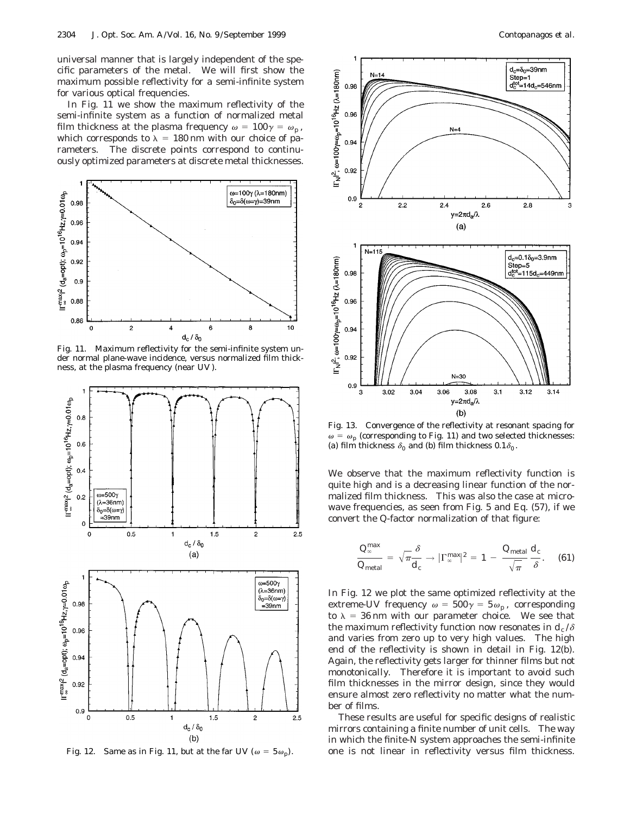universal manner that is largely independent of the specific parameters of the metal. We will first show the maximum possible reflectivity for a semi-infinite system for various optical frequencies.

In Fig. 11 we show the maximum reflectivity of the semi-infinite system as a function of normalized metal film thickness at the plasma frequency  $\omega = 100\gamma = \omega_p$ , which corresponds to  $\lambda = 180$  nm with our choice of parameters. The discrete points correspond to continuously optimized parameters at discrete metal thicknesses.



Fig. 11. Maximum reflectivity for the semi-infinite system under normal plane-wave incidence, versus normalized film thickness, at the plasma frequency (near UV ).



Fig. 12. Same as in Fig. 11, but at the far UV ( $\omega = 5 \omega_p$ ).



Fig. 13. Convergence of the reflectivity at resonant spacing for  $\omega = \omega_p$  (corresponding to Fig. 11) and two selected thicknesses: (a) film thickness  $\delta_0$  and (b) film thickness  $0.1\delta_0$ .

We observe that the maximum reflectivity function is quite high and is a decreasing linear function of the normalized film thickness. This was also the case at microwave frequencies, as seen from Fig. 5 and Eq. (57), if we convert the *Q*-factor normalization of that figure:

$$
\frac{Q_{\infty}^{\max}}{Q_{\text{metal}}} = \sqrt{\pi} \frac{\delta}{d_c} \rightarrow |\Gamma_{\infty}^{\max}|^2 = 1 - \frac{Q_{\text{metal}}}{\sqrt{\pi}} \frac{d_c}{\delta}.
$$
 (61)

In Fig. 12 we plot the same optimized reflectivity at the extreme-UV frequency  $\omega = 500\gamma = 5\omega_p$ , corresponding to  $\lambda = 36$  nm with our parameter choice. We see that the maximum reflectivity function now resonates in  $d_c/\delta$ and varies from zero up to very high values. The high end of the reflectivity is shown in detail in Fig. 12(b). Again, the reflectivity gets larger for thinner films *but not monotonically*. Therefore it is important to avoid such film thicknesses in the mirror design, since they would ensure almost zero reflectivity no matter what the number of films.

These results are useful for specific designs of realistic mirrors containing a finite number of unit cells. The way in which the finite-*N* system approaches the semi-infinite one is not linear in reflectivity versus film thickness.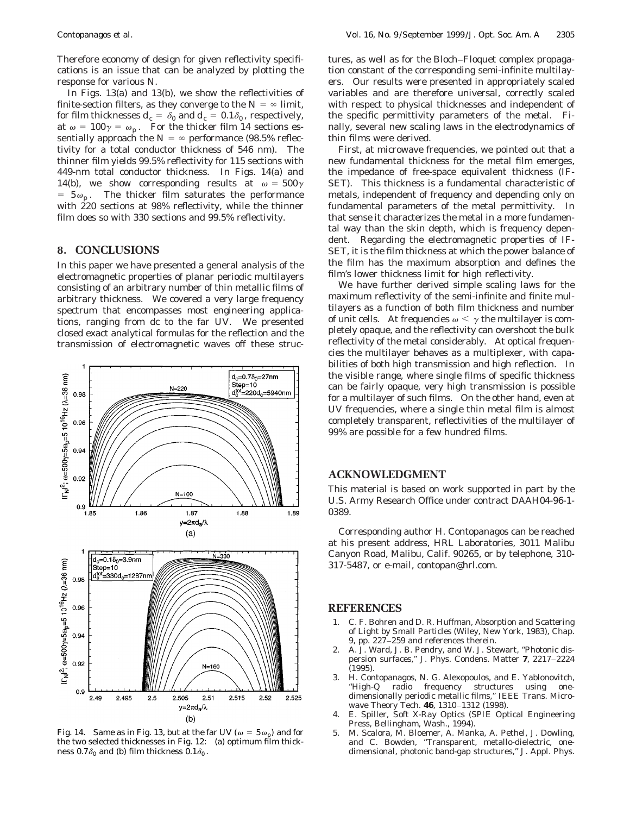Therefore economy of design for given reflectivity specifications is an issue that can be analyzed by plotting the response for various *N*.

In Figs. 13(a) and 13(b), we show the reflectivities of finite-section filters, as they converge to the  $N = \infty$  limit, for film thicknesses  $d_c = \delta_0$  and  $d_c = 0.1\delta_0$ , respectively, at  $\omega = 100\gamma = \omega_p$ . For the thicker film 14 sections essentially approach the  $N = \infty$  performance (98.5% reflectivity for a total conductor thickness of 546 nm). The thinner film yields 99.5% reflectivity for 115 sections with 449-nm total conductor thickness. In Figs. 14(a) and 14(b), we show corresponding results at  $\omega = 500\gamma$  $= 5\omega_p$ . The thicker film saturates the performance with 220 sections at 98% reflectivity, while the thinner film does so with 330 sections and 99.5% reflectivity.

# **8. CONCLUSIONS**

In this paper we have presented a general analysis of the electromagnetic properties of planar periodic multilayers consisting of an arbitrary number of thin metallic films of arbitrary thickness. We covered a very large frequency spectrum that encompasses most engineering applications, ranging from dc to the far UV. We presented closed exact analytical formulas for the reflection and the transmission of electromagnetic waves off these struc-



Fig. 14. Same as in Fig. 13, but at the far UV ( $\omega = 5 \omega_p$ ) and for the two selected thicknesses in Fig. 12: (a) optimum film thickness 0.7 $\delta_0$  and (b) film thickness 0.1 $\delta_0$ .

tures, as well as for the Bloch–Floquet complex propagation constant of the corresponding semi-infinite multilayers. Our results were presented in appropriately scaled variables and are therefore universal, correctly scaled with respect to physical thicknesses and independent of the specific permittivity parameters of the metal. Finally, several new scaling laws in the electrodynamics of thin films were derived.

First, at microwave frequencies, we pointed out that a new fundamental thickness for the metal film emerges, the impedance of free-space equivalent thickness (IF-SET). This thickness is a fundamental characteristic of metals, independent of frequency and depending only on fundamental parameters of the metal permittivity. In that sense it characterizes the metal in a more fundamental way than the skin depth, which is frequency dependent. Regarding the electromagnetic properties of IF-SET, it is the film thickness at which the power balance of the film has the maximum absorption and defines the film's lower thickness limit for high reflectivity.

We have further derived simple scaling laws for the maximum reflectivity of the semi-infinite and finite multilayers as a function of both film thickness and number of unit cells. At frequencies  $\omega < \gamma$  the multilayer is completely opaque, and the reflectivity can overshoot the bulk reflectivity of the metal considerably. At optical frequencies the multilayer behaves as a multiplexer, with capabilities of both high transmission and high reflection. In the visible range, where single films of specific thickness can be fairly opaque, very high transmission is possible for a multilayer of such films. On the other hand, even at UV frequencies, where a single thin metal film is almost completely transparent, reflectivities of the multilayer of 99% are possible for a few hundred films.

## **ACKNOWLEDGMENT**

This material is based on work supported in part by the U.S. Army Research Office under contract DAAH04-96-1- 0389.

Corresponding author H. Contopanagos can be reached at his present address, HRL Laboratories, 3011 Malibu Canyon Road, Malibu, Calif. 90265, or by telephone, 310- 317-5487, or e-mail, contopan@hrl.com.

## **REFERENCES**

- 1. C. F. Bohren and D. R. Huffman, *Absorption and Scattering of Light by Small Particles* (Wiley, New York, 1983), Chap. 9, pp. 227–259 and references therein.
- 2. A. J. Ward, J. B. Pendry, and W. J. Stewart, ''Photonic dispersion surfaces,'' J. Phys. Condens. Matter **7**, 2217–2224 (1995).
- 3. H. Contopanagos, N. G. Alexopoulos, and E. Yablonovitch, ''High-*Q* radio frequency structures using onedimensionally periodic metallic films,'' IEEE Trans. Microwave Theory Tech. **46**, 1310–1312 (1998).
- 4. E. Spiller, *Soft X-Ray Optics* (SPIE Optical Engineering Press, Bellingham, Wash., 1994).
- 5. M. Scalora, M. Bloemer, A. Manka, A. Pethel, J. Dowling, and C. Bowden, ''Transparent, metallo-dielectric, onedimensional, photonic band-gap structures,'' J. Appl. Phys.